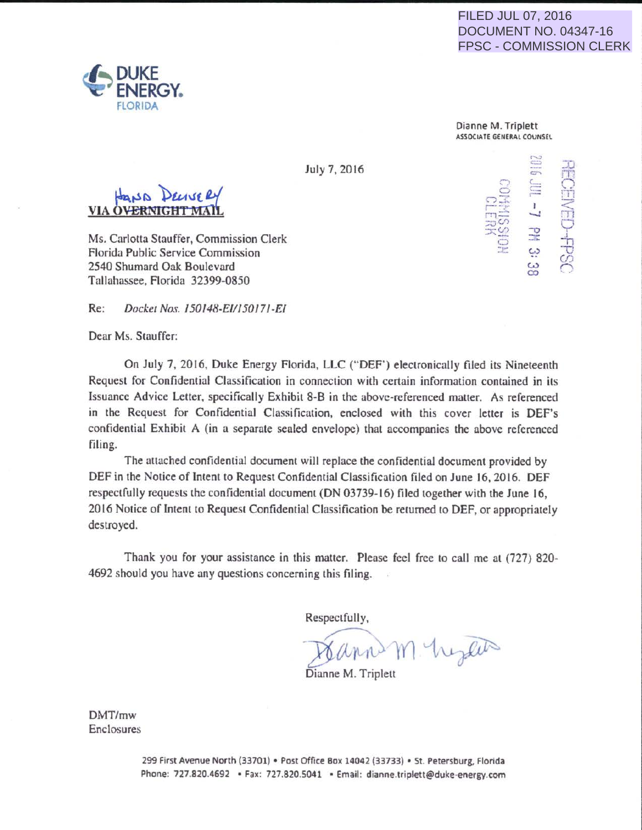## FILED JUL 07, 2016 DOCUMENT NO. 04347-16 FPSC - COMMISSION CLERK

....... , =  $\sim$ **Contract** c ,-  $\overline{a}$ 

*=.z*  .T  $\subset$ 1917 - $\,<\,$ 'TI Q I  $\mathbf{u}$ -o *( f)*   $\sqrt{2}$ 

 $\frac{1}{2}$ w w co



Dianne M. Triplett ASSOCIATE GENEAAL COVNSEl

> ::-.  $\Xi$ .-.·· rel - a construction of the construction of the construction of the construction of ~~~~~~~~~~~~  $\scriptstyle\rm C$ :.r:

July 7, 2016

VIA OV

Ms. Carlotta Stauffer, Commission Clerk Florida Public Service Commission 2540 Shumard Oak Boulevard Tallahassee, Florida 32399-0850

Re: Docket Nos. 150148-E/115017/-E/

Dear Ms. Stauffer:

On July 7, 2016, Duke Energy Florida, LLC ("DEF") electronically filed its Nineteenth Request for Confidential Classification in connection with certain information contained in its Issuance Advice Letter, specifically Exhibit 8-B in the above-referenced matter. As referenced in the Request for Confidential Classification, enclosed with this cover letter is DEF's confidential Exhibit A (in a separate sealed envelope) that accompanies the above referenced filing.

The attached confidential document will replace the confidential document provided by DEF in the Notice of Intent to Request Confidential Classification filed on June 16,2016. DEF respectfully requests the confidential document (ON 03739-16) filed together with the June 16, 2016 Notice of Intent to Request Confidential Classification be returned to DEF, or appropriately destroyed.

Thank you for your assistance in this matter. Please feel free to call me at (727) 820- 4692 should you have any questions concerning this filing.

Respectfully,

 $\sim$  -  $\sim$  -  $\sim$  -  $\sim$  -  $\sim$  -  $\sim$ J; l) 1Y1'··t\.~.r <sup>~</sup>

Dianne M. Triplett

DMT/mw Enclosures

> 299 First Avenue North (33701) • Post Office Box 14042 (33733) • St. Petersburg. Florida Phone: 727.820.4692 • Fax: 727.820.5041 • Email: dianne.triplett@duke-energy.com